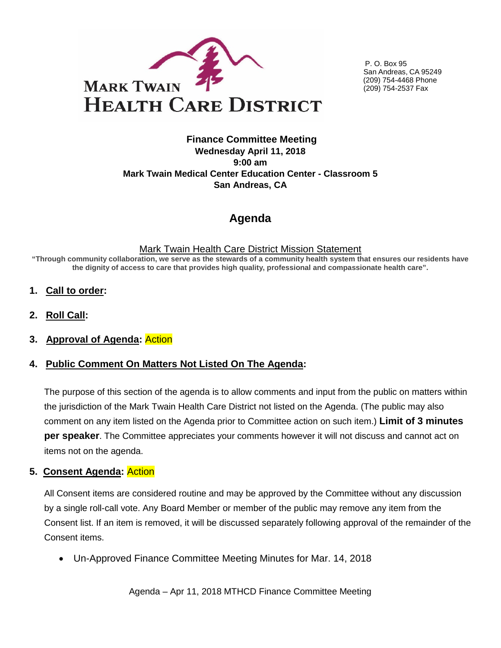

P. O. Box 95 San Andreas, CA 95249 (209) 754-4468 Phone (209) 754-2537 Fax

#### **Finance Committee Meeting Wednesday April 11, 2018 9:00 am Mark Twain Medical Center Education Center - Classroom 5 San Andreas, CA**

# **Agenda**

#### Mark Twain Health Care District Mission Statement

**"Through community collaboration, we serve as the stewards of a community health system that ensures our residents have the dignity of access to care that provides high quality, professional and compassionate health care".** 

- **1. Call to order:**
- **2. Roll Call:**
- **3. Approval of Agenda:** Action

## **4. Public Comment On Matters Not Listed On The Agenda:**

The purpose of this section of the agenda is to allow comments and input from the public on matters within the jurisdiction of the Mark Twain Health Care District not listed on the Agenda. (The public may also comment on any item listed on the Agenda prior to Committee action on such item.) **Limit of 3 minutes per speaker**. The Committee appreciates your comments however it will not discuss and cannot act on items not on the agenda.

## **5. Consent Agenda:** Action

All Consent items are considered routine and may be approved by the Committee without any discussion by a single roll-call vote. Any Board Member or member of the public may remove any item from the Consent list. If an item is removed, it will be discussed separately following approval of the remainder of the Consent items.

• Un-Approved Finance Committee Meeting Minutes for Mar. 14, 2018

Agenda – Apr 11, 2018 MTHCD Finance Committee Meeting